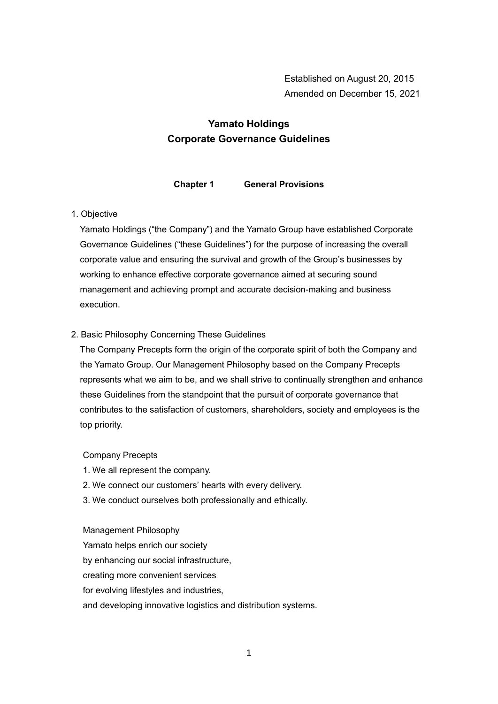# **Yamato Holdings Corporate Governance Guidelines**

**Chapter 1 General Provisions**

# 1. Objective

Yamato Holdings ("the Company") and the Yamato Group have established Corporate Governance Guidelines ("these Guidelines") for the purpose of increasing the overall corporate value and ensuring the survival and growth of the Group's businesses by working to enhance effective corporate governance aimed at securing sound management and achieving prompt and accurate decision-making and business execution.

# 2. Basic Philosophy Concerning These Guidelines

The Company Precepts form the origin of the corporate spirit of both the Company and the Yamato Group. Our Management Philosophy based on the Company Precepts represents what we aim to be, and we shall strive to continually strengthen and enhance these Guidelines from the standpoint that the pursuit of corporate governance that contributes to the satisfaction of customers, shareholders, society and employees is the top priority.

# Company Precepts

- 1. We all represent the company.
- 2. We connect our customers' hearts with every delivery.
- 3. We conduct ourselves both professionally and ethically.

#### Management Philosophy

Yamato helps enrich our society by enhancing our social infrastructure, creating more convenient services for evolving lifestyles and industries, and developing innovative logistics and distribution systems.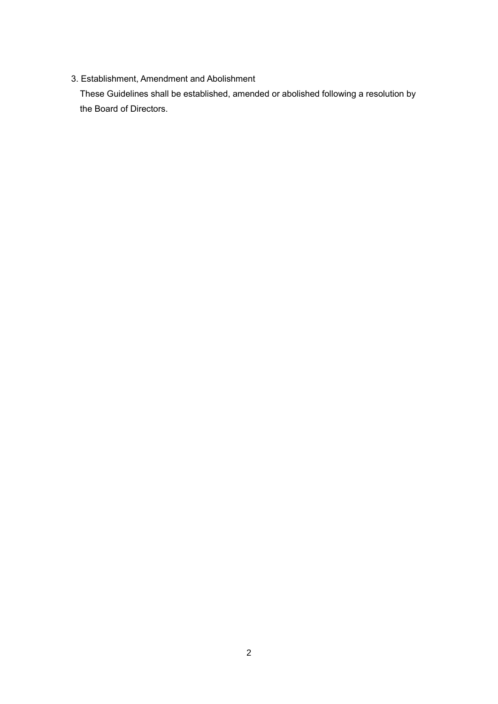# 3. Establishment, Amendment and Abolishment

These Guidelines shall be established, amended or abolished following a resolution by the Board of Directors.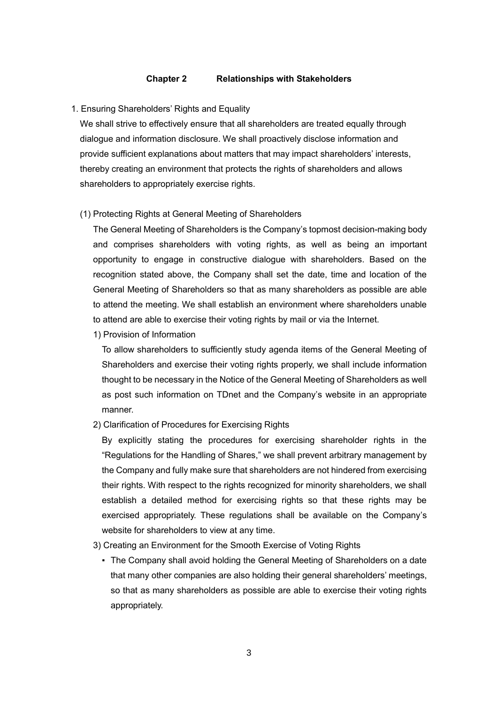#### **Chapter 2 Relationships with Stakeholders**

#### 1. Ensuring Shareholders' Rights and Equality

We shall strive to effectively ensure that all shareholders are treated equally through dialogue and information disclosure. We shall proactively disclose information and provide sufficient explanations about matters that may impact shareholders' interests, thereby creating an environment that protects the rights of shareholders and allows shareholders to appropriately exercise rights.

(1) Protecting Rights at General Meeting of Shareholders

The General Meeting of Shareholders is the Company's topmost decision-making body and comprises shareholders with voting rights, as well as being an important opportunity to engage in constructive dialogue with shareholders. Based on the recognition stated above, the Company shall set the date, time and location of the General Meeting of Shareholders so that as many shareholders as possible are able to attend the meeting. We shall establish an environment where shareholders unable to attend are able to exercise their voting rights by mail or via the Internet.

1) Provision of Information

To allow shareholders to sufficiently study agenda items of the General Meeting of Shareholders and exercise their voting rights properly, we shall include information thought to be necessary in the Notice of the General Meeting of Shareholders as well as post such information on TDnet and the Company's website in an appropriate manner.

2) Clarification of Procedures for Exercising Rights

By explicitly stating the procedures for exercising shareholder rights in the "Regulations for the Handling of Shares," we shall prevent arbitrary management by the Company and fully make sure that shareholders are not hindered from exercising their rights. With respect to the rights recognized for minority shareholders, we shall establish a detailed method for exercising rights so that these rights may be exercised appropriately. These regulations shall be available on the Company's website for shareholders to view at any time.

- 3) Creating an Environment for the Smooth Exercise of Voting Rights
	- The Company shall avoid holding the General Meeting of Shareholders on a date that many other companies are also holding their general shareholders' meetings, so that as many shareholders as possible are able to exercise their voting rights appropriately.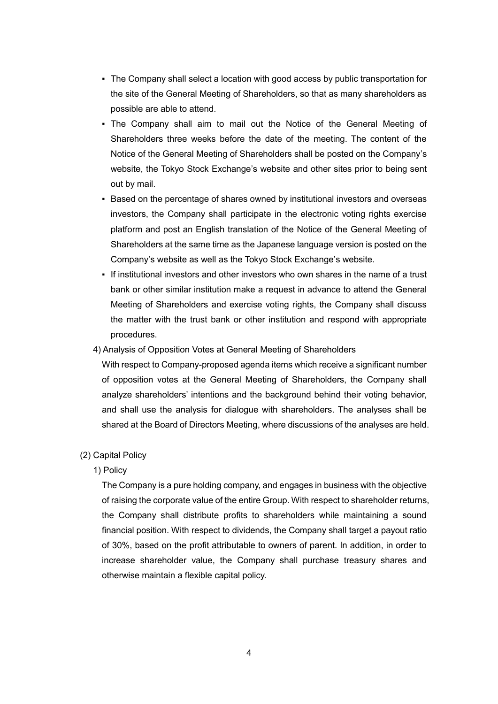- The Company shall select a location with good access by public transportation for the site of the General Meeting of Shareholders, so that as many shareholders as possible are able to attend.
- The Company shall aim to mail out the Notice of the General Meeting of Shareholders three weeks before the date of the meeting. The content of the Notice of the General Meeting of Shareholders shall be posted on the Company's website, the Tokyo Stock Exchange's website and other sites prior to being sent out by mail.
- Based on the percentage of shares owned by institutional investors and overseas investors, the Company shall participate in the electronic voting rights exercise platform and post an English translation of the Notice of the General Meeting of Shareholders at the same time as the Japanese language version is posted on the Company's website as well as the Tokyo Stock Exchange's website.
- If institutional investors and other investors who own shares in the name of a trust bank or other similar institution make a request in advance to attend the General Meeting of Shareholders and exercise voting rights, the Company shall discuss the matter with the trust bank or other institution and respond with appropriate procedures.

# 4) Analysis of Opposition Votes at General Meeting of Shareholders

With respect to Company-proposed agenda items which receive a significant number of opposition votes at the General Meeting of Shareholders, the Company shall analyze shareholders' intentions and the background behind their voting behavior, and shall use the analysis for dialogue with shareholders. The analyses shall be shared at the Board of Directors Meeting, where discussions of the analyses are held.

### (2) Capital Policy

# 1) Policy

The Company is a pure holding company, and engages in business with the objective of raising the corporate value of the entire Group. With respect to shareholder returns, the Company shall distribute profits to shareholders while maintaining a sound financial position. With respect to dividends, the Company shall target a payout ratio of 30%, based on the profit attributable to owners of parent. In addition, in order to increase shareholder value, the Company shall purchase treasury shares and otherwise maintain a flexible capital policy.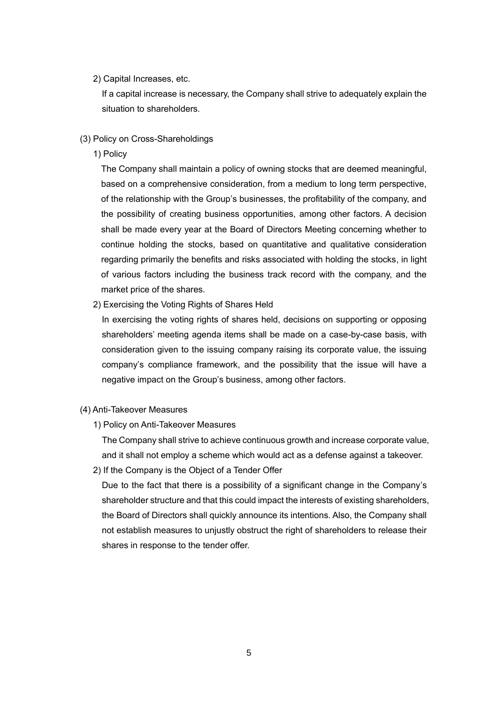# 2) Capital Increases, etc.

If a capital increase is necessary, the Company shall strive to adequately explain the situation to shareholders.

- (3) Policy on Cross-Shareholdings
	- 1) Policy

The Company shall maintain a policy of owning stocks that are deemed meaningful, based on a comprehensive consideration, from a medium to long term perspective, of the relationship with the Group's businesses, the profitability of the company, and the possibility of creating business opportunities, among other factors. A decision shall be made every year at the Board of Directors Meeting concerning whether to continue holding the stocks, based on quantitative and qualitative consideration regarding primarily the benefits and risks associated with holding the stocks, in light of various factors including the business track record with the company, and the market price of the shares.

2) Exercising the Voting Rights of Shares Held

In exercising the voting rights of shares held, decisions on supporting or opposing shareholders' meeting agenda items shall be made on a case-by-case basis, with consideration given to the issuing company raising its corporate value, the issuing company's compliance framework, and the possibility that the issue will have a negative impact on the Group's business, among other factors.

- (4) Anti-Takeover Measures
	- 1) Policy on Anti-Takeover Measures

The Company shall strive to achieve continuous growth and increase corporate value, and it shall not employ a scheme which would act as a defense against a takeover.

2) If the Company is the Object of a Tender Offer

Due to the fact that there is a possibility of a significant change in the Company's shareholder structure and that this could impact the interests of existing shareholders, the Board of Directors shall quickly announce its intentions. Also, the Company shall not establish measures to unjustly obstruct the right of shareholders to release their shares in response to the tender offer.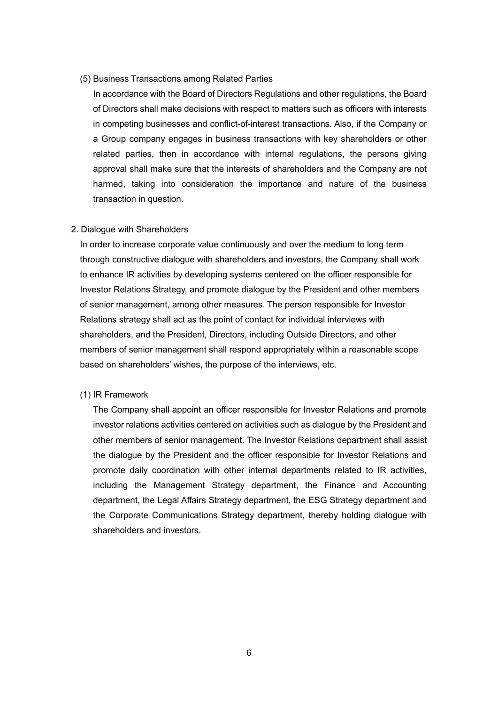(5) Business Transactions among Related Parties

In accordance with the Board of Directors Regulations and other regulations, the Board of Directors shall make decisions with respect to matters such as officers with interests in competing businesses and conflict-of-interest transactions. Also, if the Company or a Group company engages in business transactions with key shareholders or other related parties, then in accordance with internal regulations, the persons giving approval shall make sure that the interests of shareholders and the Company are not harmed, taking into consideration the importance and nature of the business transaction in question.

#### 2. Dialogue with Shareholders

In order to increase corporate value continuously and over the medium to long term through constructive dialogue with shareholders and investors, the Company shall work to enhance IR activities by developing systems centered on the officer responsible for Investor Relations Strategy, and promote dialogue by the President and other members of senior management, among other measures. The person responsible for Investor Relations strategy shall act as the point of contact for individual interviews with shareholders, and the President, Directors, including Outside Directors, and other members of senior management shall respond appropriately within a reasonable scope based on shareholders' wishes, the purpose of the interviews, etc.

#### (1) IR Framework

The Company shall appoint an officer responsible for Investor Relations and promote investor relations activities centered on activities such as dialogue by the President and other members of senior management. The Investor Relations department shall assist the dialogue by the President and the officer responsible for Investor Relations and promote daily coordination with other internal departments related to IR activities, including the Management Strategy department, the Finance and Accounting department, the Legal Affairs Strategy department, the ESG Strategy department and the Corporate Communications Strategy department, thereby holding dialogue with shareholders and investors.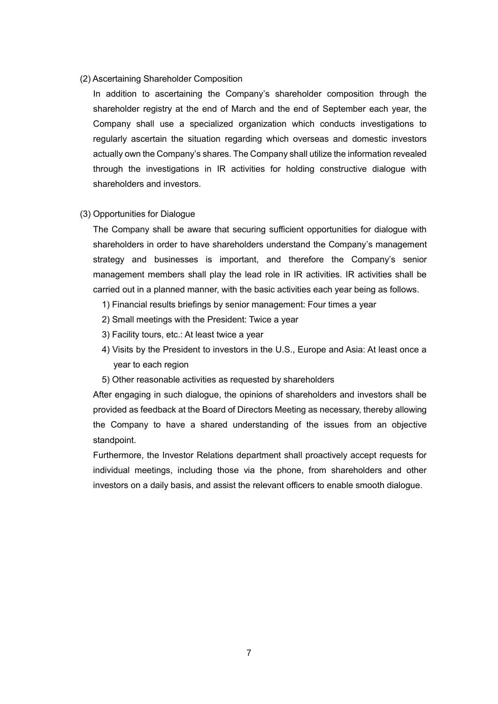# (2) Ascertaining Shareholder Composition

In addition to ascertaining the Company's shareholder composition through the shareholder registry at the end of March and the end of September each year, the Company shall use a specialized organization which conducts investigations to regularly ascertain the situation regarding which overseas and domestic investors actually own the Company's shares. The Company shall utilize the information revealed through the investigations in IR activities for holding constructive dialogue with shareholders and investors.

# (3) Opportunities for Dialogue

The Company shall be aware that securing sufficient opportunities for dialogue with shareholders in order to have shareholders understand the Company's management strategy and businesses is important, and therefore the Company's senior management members shall play the lead role in IR activities. IR activities shall be carried out in a planned manner, with the basic activities each year being as follows.

- 1) Financial results briefings by senior management: Four times a year
- 2) Small meetings with the President: Twice a year
- 3) Facility tours, etc.: At least twice a year
- 4) Visits by the President to investors in the U.S., Europe and Asia: At least once a year to each region
- 5) Other reasonable activities as requested by shareholders

After engaging in such dialogue, the opinions of shareholders and investors shall be provided as feedback at the Board of Directors Meeting as necessary, thereby allowing the Company to have a shared understanding of the issues from an objective standpoint.

Furthermore, the Investor Relations department shall proactively accept requests for individual meetings, including those via the phone, from shareholders and other investors on a daily basis, and assist the relevant officers to enable smooth dialogue.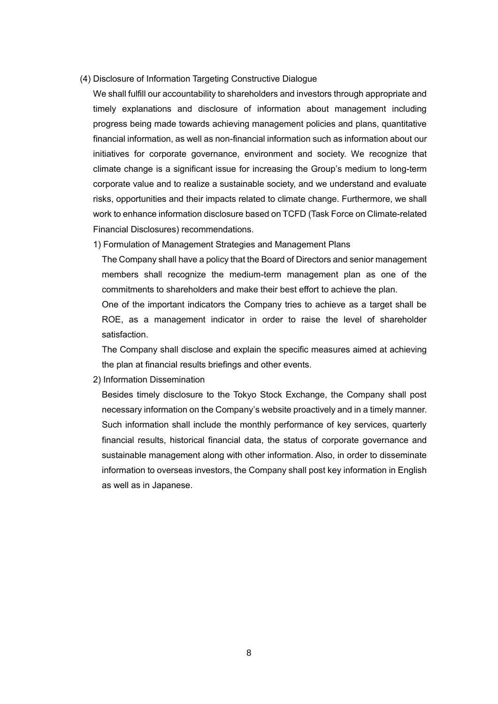- (4) Disclosure of Information Targeting Constructive Dialogue
	- We shall fulfill our accountability to shareholders and investors through appropriate and timely explanations and disclosure of information about management including progress being made towards achieving management policies and plans, quantitative financial information, as well as non-financial information such as information about our initiatives for corporate governance, environment and society. We recognize that climate change is a significant issue for increasing the Group's medium to long-term corporate value and to realize a sustainable society, and we understand and evaluate risks, opportunities and their impacts related to climate change. Furthermore, we shall work to enhance information disclosure based on TCFD (Task Force on Climate-related Financial Disclosures) recommendations.
	- 1) Formulation of Management Strategies and Management Plans

The Company shall have a policy that the Board of Directors and senior management members shall recognize the medium-term management plan as one of the commitments to shareholders and make their best effort to achieve the plan.

One of the important indicators the Company tries to achieve as a target shall be ROE, as a management indicator in order to raise the level of shareholder satisfaction.

The Company shall disclose and explain the specific measures aimed at achieving the plan at financial results briefings and other events.

2) Information Dissemination

Besides timely disclosure to the Tokyo Stock Exchange, the Company shall post necessary information on the Company's website proactively and in a timely manner. Such information shall include the monthly performance of key services, quarterly financial results, historical financial data, the status of corporate governance and sustainable management along with other information. Also, in order to disseminate information to overseas investors, the Company shall post key information in English as well as in Japanese.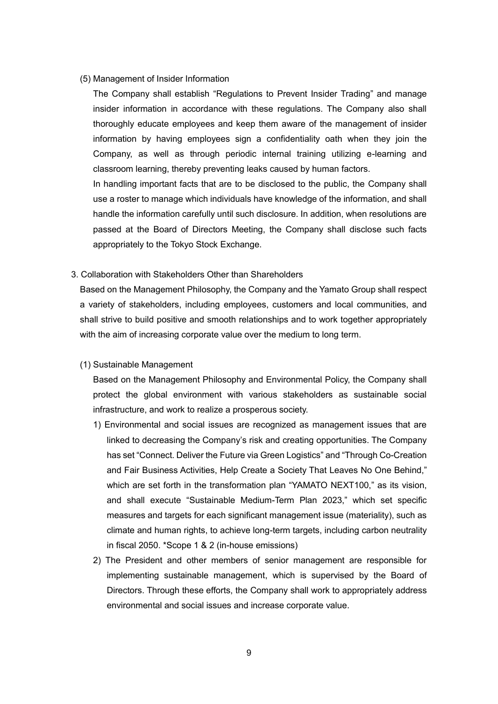#### (5) Management of Insider Information

The Company shall establish "Regulations to Prevent Insider Trading" and manage insider information in accordance with these regulations. The Company also shall thoroughly educate employees and keep them aware of the management of insider information by having employees sign a confidentiality oath when they join the Company, as well as through periodic internal training utilizing e-learning and classroom learning, thereby preventing leaks caused by human factors.

In handling important facts that are to be disclosed to the public, the Company shall use a roster to manage which individuals have knowledge of the information, and shall handle the information carefully until such disclosure. In addition, when resolutions are passed at the Board of Directors Meeting, the Company shall disclose such facts appropriately to the Tokyo Stock Exchange.

3. Collaboration with Stakeholders Other than Shareholders

Based on the Management Philosophy, the Company and the Yamato Group shall respect a variety of stakeholders, including employees, customers and local communities, and shall strive to build positive and smooth relationships and to work together appropriately with the aim of increasing corporate value over the medium to long term.

# (1) Sustainable Management

Based on the Management Philosophy and Environmental Policy, the Company shall protect the global environment with various stakeholders as sustainable social infrastructure, and work to realize a prosperous society.

- 1) Environmental and social issues are recognized as management issues that are linked to decreasing the Company's risk and creating opportunities. The Company has set "Connect. Deliver the Future via Green Logistics" and "Through Co-Creation and Fair Business Activities, Help Create a Society That Leaves No One Behind," which are set forth in the transformation plan "YAMATO NEXT100," as its vision, and shall execute "Sustainable Medium-Term Plan 2023," which set specific measures and targets for each significant management issue (materiality), such as climate and human rights, to achieve long-term targets, including carbon neutrality in fiscal 2050. \*Scope 1 & 2 (in-house emissions)
- 2) The President and other members of senior management are responsible for implementing sustainable management, which is supervised by the Board of Directors. Through these efforts, the Company shall work to appropriately address environmental and social issues and increase corporate value.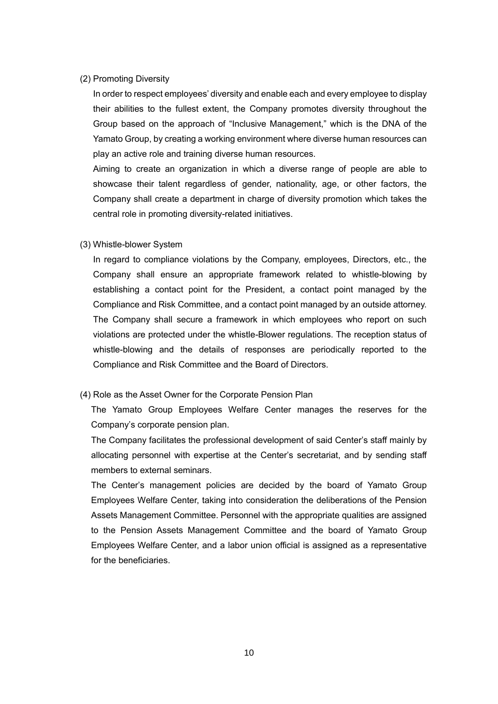# (2) Promoting Diversity

In order to respect employees' diversity and enable each and every employee to display their abilities to the fullest extent, the Company promotes diversity throughout the Group based on the approach of "Inclusive Management," which is the DNA of the Yamato Group, by creating a working environment where diverse human resources can play an active role and training diverse human resources.

Aiming to create an organization in which a diverse range of people are able to showcase their talent regardless of gender, nationality, age, or other factors, the Company shall create a department in charge of diversity promotion which takes the central role in promoting diversity-related initiatives.

# (3) Whistle-blower System

In regard to compliance violations by the Company, employees, Directors, etc., the Company shall ensure an appropriate framework related to whistle-blowing by establishing a contact point for the President, a contact point managed by the Compliance and Risk Committee, and a contact point managed by an outside attorney. The Company shall secure a framework in which employees who report on such violations are protected under the whistle-Blower regulations. The reception status of whistle-blowing and the details of responses are periodically reported to the Compliance and Risk Committee and the Board of Directors.

#### (4) Role as the Asset Owner for the Corporate Pension Plan

The Yamato Group Employees Welfare Center manages the reserves for the Company's corporate pension plan.

The Company facilitates the professional development of said Center's staff mainly by allocating personnel with expertise at the Center's secretariat, and by sending staff members to external seminars.

The Center's management policies are decided by the board of Yamato Group Employees Welfare Center, taking into consideration the deliberations of the Pension Assets Management Committee. Personnel with the appropriate qualities are assigned to the Pension Assets Management Committee and the board of Yamato Group Employees Welfare Center, and a labor union official is assigned as a representative for the beneficiaries.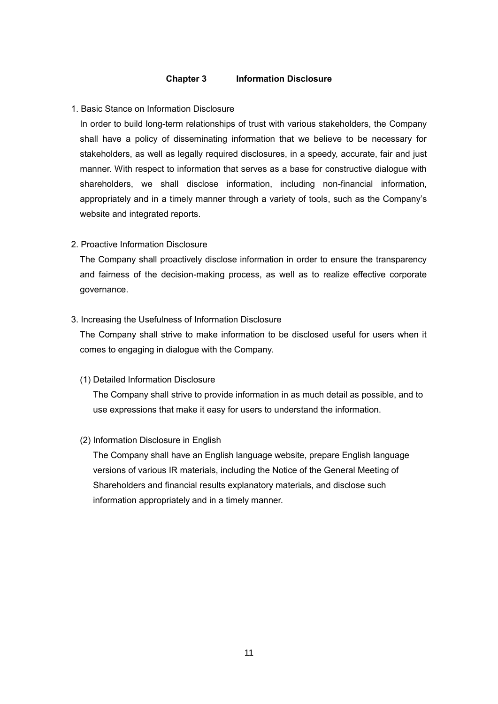# **Chapter 3 Information Disclosure**

# 1. Basic Stance on Information Disclosure

In order to build long-term relationships of trust with various stakeholders, the Company shall have a policy of disseminating information that we believe to be necessary for stakeholders, as well as legally required disclosures, in a speedy, accurate, fair and just manner. With respect to information that serves as a base for constructive dialogue with shareholders, we shall disclose information, including non-financial information, appropriately and in a timely manner through a variety of tools, such as the Company's website and integrated reports.

# 2. Proactive Information Disclosure

The Company shall proactively disclose information in order to ensure the transparency and fairness of the decision-making process, as well as to realize effective corporate governance.

#### 3. Increasing the Usefulness of Information Disclosure

The Company shall strive to make information to be disclosed useful for users when it comes to engaging in dialogue with the Company.

#### (1) Detailed Information Disclosure

The Company shall strive to provide information in as much detail as possible, and to use expressions that make it easy for users to understand the information.

#### (2) Information Disclosure in English

The Company shall have an English language website, prepare English language versions of various IR materials, including the Notice of the General Meeting of Shareholders and financial results explanatory materials, and disclose such information appropriately and in a timely manner.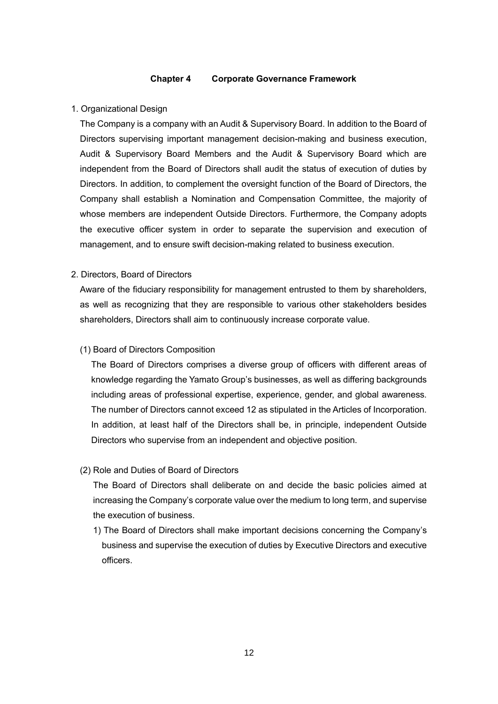# **Chapter 4 Corporate Governance Framework**

#### 1. Organizational Design

The Company is a company with an Audit & Supervisory Board. In addition to the Board of Directors supervising important management decision-making and business execution, Audit & Supervisory Board Members and the Audit & Supervisory Board which are independent from the Board of Directors shall audit the status of execution of duties by Directors. In addition, to complement the oversight function of the Board of Directors, the Company shall establish a Nomination and Compensation Committee, the majority of whose members are independent Outside Directors. Furthermore, the Company adopts the executive officer system in order to separate the supervision and execution of management, and to ensure swift decision-making related to business execution.

# 2. Directors, Board of Directors

Aware of the fiduciary responsibility for management entrusted to them by shareholders, as well as recognizing that they are responsible to various other stakeholders besides shareholders, Directors shall aim to continuously increase corporate value.

#### (1) Board of Directors Composition

The Board of Directors comprises a diverse group of officers with different areas of knowledge regarding the Yamato Group's businesses, as well as differing backgrounds including areas of professional expertise, experience, gender, and global awareness. The number of Directors cannot exceed 12 as stipulated in the Articles of Incorporation. In addition, at least half of the Directors shall be, in principle, independent Outside Directors who supervise from an independent and objective position.

# (2) Role and Duties of Board of Directors

The Board of Directors shall deliberate on and decide the basic policies aimed at increasing the Company's corporate value over the medium to long term, and supervise the execution of business.

1) The Board of Directors shall make important decisions concerning the Company's business and supervise the execution of duties by Executive Directors and executive officers.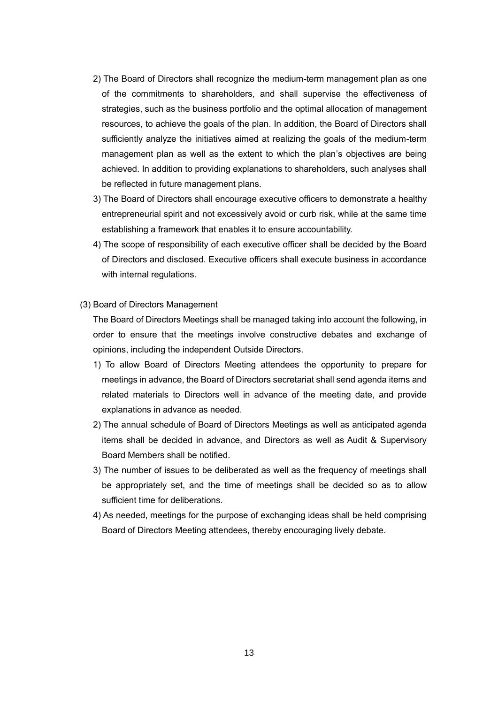- 2) The Board of Directors shall recognize the medium-term management plan as one of the commitments to shareholders, and shall supervise the effectiveness of strategies, such as the business portfolio and the optimal allocation of management resources, to achieve the goals of the plan. In addition, the Board of Directors shall sufficiently analyze the initiatives aimed at realizing the goals of the medium-term management plan as well as the extent to which the plan's objectives are being achieved. In addition to providing explanations to shareholders, such analyses shall be reflected in future management plans.
- 3) The Board of Directors shall encourage executive officers to demonstrate a healthy entrepreneurial spirit and not excessively avoid or curb risk, while at the same time establishing a framework that enables it to ensure accountability.
- 4) The scope of responsibility of each executive officer shall be decided by the Board of Directors and disclosed. Executive officers shall execute business in accordance with internal regulations.

#### (3) Board of Directors Management

The Board of Directors Meetings shall be managed taking into account the following, in order to ensure that the meetings involve constructive debates and exchange of opinions, including the independent Outside Directors.

- 1) To allow Board of Directors Meeting attendees the opportunity to prepare for meetings in advance, the Board of Directors secretariat shall send agenda items and related materials to Directors well in advance of the meeting date, and provide explanations in advance as needed.
- 2) The annual schedule of Board of Directors Meetings as well as anticipated agenda items shall be decided in advance, and Directors as well as Audit & Supervisory Board Members shall be notified.
- 3) The number of issues to be deliberated as well as the frequency of meetings shall be appropriately set, and the time of meetings shall be decided so as to allow sufficient time for deliberations.
- 4) As needed, meetings for the purpose of exchanging ideas shall be held comprising Board of Directors Meeting attendees, thereby encouraging lively debate.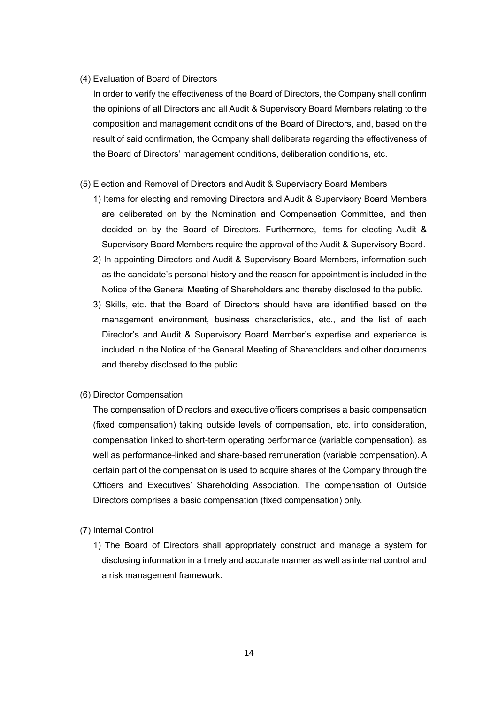# (4) Evaluation of Board of Directors

In order to verify the effectiveness of the Board of Directors, the Company shall confirm the opinions of all Directors and all Audit & Supervisory Board Members relating to the composition and management conditions of the Board of Directors, and, based on the result of said confirmation, the Company shall deliberate regarding the effectiveness of the Board of Directors' management conditions, deliberation conditions, etc.

- (5) Election and Removal of Directors and Audit & Supervisory Board Members
	- 1) Items for electing and removing Directors and Audit & Supervisory Board Members are deliberated on by the Nomination and Compensation Committee, and then decided on by the Board of Directors. Furthermore, items for electing Audit & Supervisory Board Members require the approval of the Audit & Supervisory Board.
	- 2) In appointing Directors and Audit & Supervisory Board Members, information such as the candidate's personal history and the reason for appointment is included in the Notice of the General Meeting of Shareholders and thereby disclosed to the public.
	- 3) Skills, etc. that the Board of Directors should have are identified based on the management environment, business characteristics, etc., and the list of each Director's and Audit & Supervisory Board Member's expertise and experience is included in the Notice of the General Meeting of Shareholders and other documents and thereby disclosed to the public.
- (6) Director Compensation

The compensation of Directors and executive officers comprises a basic compensation (fixed compensation) taking outside levels of compensation, etc. into consideration, compensation linked to short-term operating performance (variable compensation), as well as performance-linked and share-based remuneration (variable compensation). A certain part of the compensation is used to acquire shares of the Company through the Officers and Executives' Shareholding Association. The compensation of Outside Directors comprises a basic compensation (fixed compensation) only.

- (7) Internal Control
	- 1) The Board of Directors shall appropriately construct and manage a system for disclosing information in a timely and accurate manner as well as internal control and a risk management framework.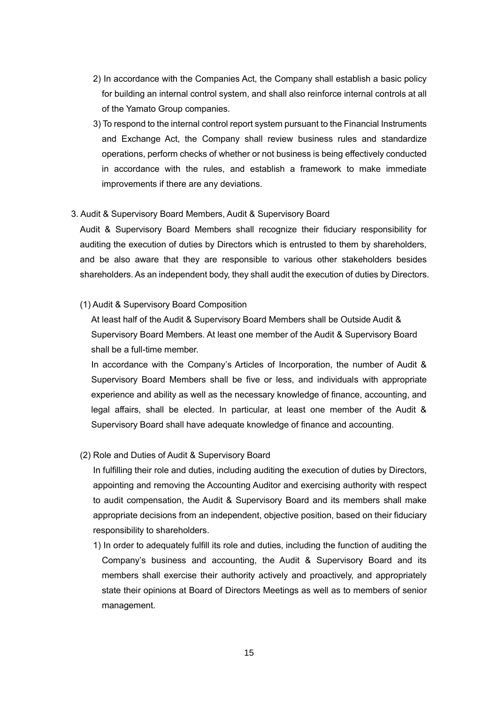- 2) In accordance with the Companies Act, the Company shall establish a basic policy for building an internal control system, and shall also reinforce internal controls at all of the Yamato Group companies.
- 3) To respond to the internal control report system pursuant to the Financial Instruments and Exchange Act, the Company shall review business rules and standardize operations, perform checks of whether or not business is being effectively conducted in accordance with the rules, and establish a framework to make immediate improvements if there are any deviations.

# 3. Audit & Supervisory Board Members, Audit & Supervisory Board

Audit & Supervisory Board Members shall recognize their fiduciary responsibility for auditing the execution of duties by Directors which is entrusted to them by shareholders, and be also aware that they are responsible to various other stakeholders besides shareholders. As an independent body, they shall audit the execution of duties by Directors.

# (1) Audit & Supervisory Board Composition

At least half of the Audit & Supervisory Board Members shall be Outside Audit & Supervisory Board Members. At least one member of the Audit & Supervisory Board shall be a full-time member.

In accordance with the Company's Articles of Incorporation, the number of Audit & Supervisory Board Members shall be five or less, and individuals with appropriate experience and ability as well as the necessary knowledge of finance, accounting, and legal affairs, shall be elected. In particular, at least one member of the Audit & Supervisory Board shall have adequate knowledge of finance and accounting.

# (2) Role and Duties of Audit & Supervisory Board

In fulfilling their role and duties, including auditing the execution of duties by Directors, appointing and removing the Accounting Auditor and exercising authority with respect to audit compensation, the Audit & Supervisory Board and its members shall make appropriate decisions from an independent, objective position, based on their fiduciary responsibility to shareholders.

1) In order to adequately fulfill its role and duties, including the function of auditing the Company's business and accounting, the Audit & Supervisory Board and its members shall exercise their authority actively and proactively, and appropriately state their opinions at Board of Directors Meetings as well as to members of senior management.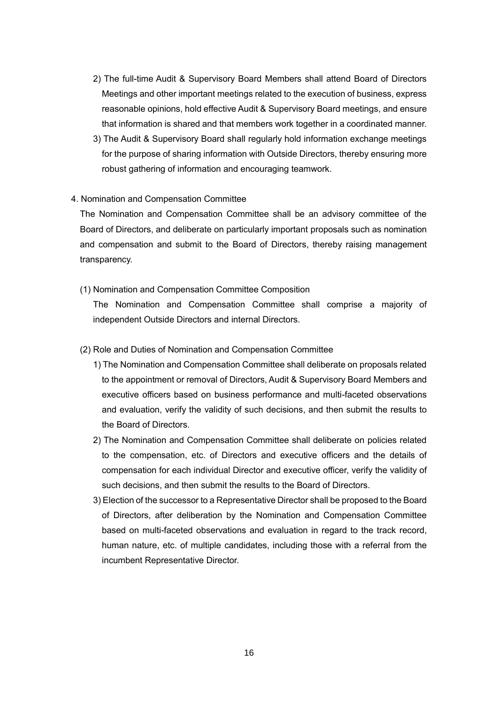- 2) The full-time Audit & Supervisory Board Members shall attend Board of Directors Meetings and other important meetings related to the execution of business, express reasonable opinions, hold effective Audit & Supervisory Board meetings, and ensure that information is shared and that members work together in a coordinated manner.
- 3) The Audit & Supervisory Board shall regularly hold information exchange meetings for the purpose of sharing information with Outside Directors, thereby ensuring more robust gathering of information and encouraging teamwork.

# 4. Nomination and Compensation Committee

The Nomination and Compensation Committee shall be an advisory committee of the Board of Directors, and deliberate on particularly important proposals such as nomination and compensation and submit to the Board of Directors, thereby raising management transparency.

(1) Nomination and Compensation Committee Composition

The Nomination and Compensation Committee shall comprise a majority of independent Outside Directors and internal Directors.

- (2) Role and Duties of Nomination and Compensation Committee
	- 1) The Nomination and Compensation Committee shall deliberate on proposals related to the appointment or removal of Directors, Audit & Supervisory Board Members and executive officers based on business performance and multi-faceted observations and evaluation, verify the validity of such decisions, and then submit the results to the Board of Directors.
	- 2) The Nomination and Compensation Committee shall deliberate on policies related to the compensation, etc. of Directors and executive officers and the details of compensation for each individual Director and executive officer, verify the validity of such decisions, and then submit the results to the Board of Directors.
	- 3) Election of the successor to a Representative Director shall be proposed to the Board of Directors, after deliberation by the Nomination and Compensation Committee based on multi-faceted observations and evaluation in regard to the track record, human nature, etc. of multiple candidates, including those with a referral from the incumbent Representative Director.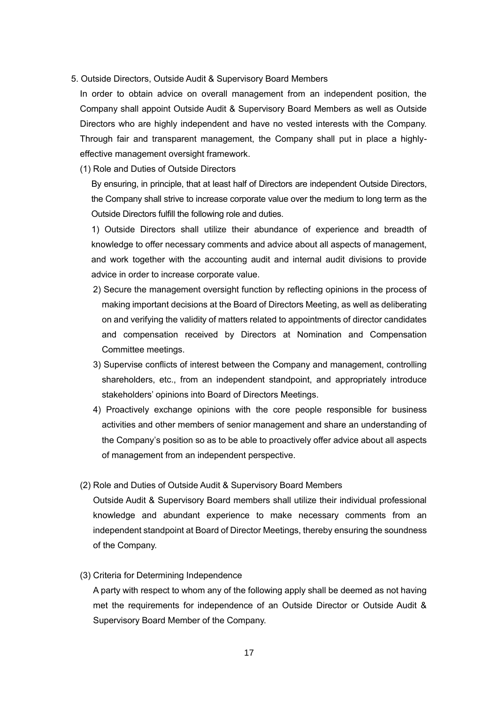# 5. Outside Directors, Outside Audit & Supervisory Board Members

In order to obtain advice on overall management from an independent position, the Company shall appoint Outside Audit & Supervisory Board Members as well as Outside Directors who are highly independent and have no vested interests with the Company. Through fair and transparent management, the Company shall put in place a highlyeffective management oversight framework.

#### (1) Role and Duties of Outside Directors

By ensuring, in principle, that at least half of Directors are independent Outside Directors, the Company shall strive to increase corporate value over the medium to long term as the Outside Directors fulfill the following role and duties.

1) Outside Directors shall utilize their abundance of experience and breadth of knowledge to offer necessary comments and advice about all aspects of management, and work together with the accounting audit and internal audit divisions to provide advice in order to increase corporate value.

- 2) Secure the management oversight function by reflecting opinions in the process of making important decisions at the Board of Directors Meeting, as well as deliberating on and verifying the validity of matters related to appointments of director candidates and compensation received by Directors at Nomination and Compensation Committee meetings.
- 3) Supervise conflicts of interest between the Company and management, controlling shareholders, etc., from an independent standpoint, and appropriately introduce stakeholders' opinions into Board of Directors Meetings.
- 4) Proactively exchange opinions with the core people responsible for business activities and other members of senior management and share an understanding of the Company's position so as to be able to proactively offer advice about all aspects of management from an independent perspective.

# (2) Role and Duties of Outside Audit & Supervisory Board Members

Outside Audit & Supervisory Board members shall utilize their individual professional knowledge and abundant experience to make necessary comments from an independent standpoint at Board of Director Meetings, thereby ensuring the soundness of the Company.

(3) Criteria for Determining Independence

A party with respect to whom any of the following apply shall be deemed as not having met the requirements for independence of an Outside Director or Outside Audit & Supervisory Board Member of the Company.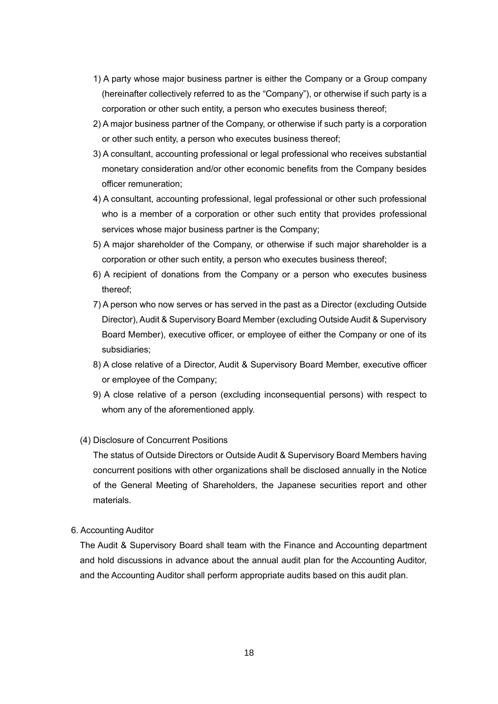- 1) A party whose major business partner is either the Company or a Group company (hereinafter collectively referred to as the "Company"), or otherwise if such party is a corporation or other such entity, a person who executes business thereof;
- 2) A major business partner of the Company, or otherwise if such party is a corporation or other such entity, a person who executes business thereof;
- 3) A consultant, accounting professional or legal professional who receives substantial monetary consideration and/or other economic benefits from the Company besides officer remuneration;
- 4) A consultant, accounting professional, legal professional or other such professional who is a member of a corporation or other such entity that provides professional services whose major business partner is the Company;
- 5) A major shareholder of the Company, or otherwise if such major shareholder is a corporation or other such entity, a person who executes business thereof;
- 6) A recipient of donations from the Company or a person who executes business thereof;
- 7) A person who now serves or has served in the past as a Director (excluding Outside Director), Audit & Supervisory Board Member (excluding Outside Audit & Supervisory Board Member), executive officer, or employee of either the Company or one of its subsidiaries;
- 8) A close relative of a Director, Audit & Supervisory Board Member, executive officer or employee of the Company;
- 9) A close relative of a person (excluding inconsequential persons) with respect to whom any of the aforementioned apply.

# (4) Disclosure of Concurrent Positions

The status of Outside Directors or Outside Audit & Supervisory Board Members having concurrent positions with other organizations shall be disclosed annually in the Notice of the General Meeting of Shareholders, the Japanese securities report and other materials.

# 6. Accounting Auditor

The Audit & Supervisory Board shall team with the Finance and Accounting department and hold discussions in advance about the annual audit plan for the Accounting Auditor, and the Accounting Auditor shall perform appropriate audits based on this audit plan.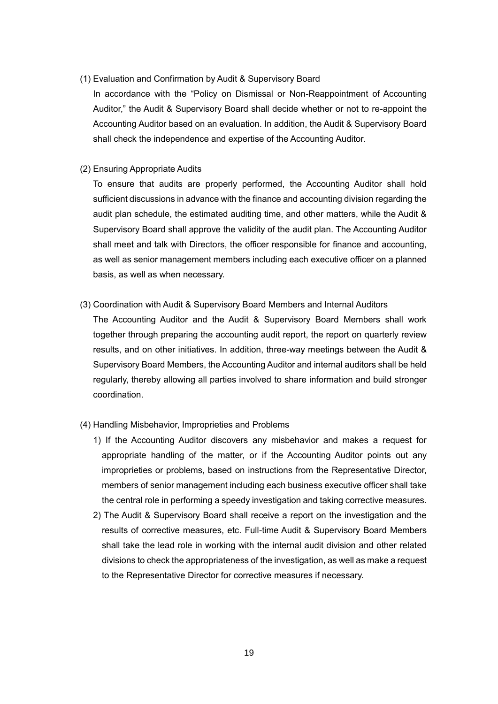# (1) Evaluation and Confirmation by Audit & Supervisory Board

In accordance with the "Policy on Dismissal or Non-Reappointment of Accounting Auditor," the Audit & Supervisory Board shall decide whether or not to re-appoint the Accounting Auditor based on an evaluation. In addition, the Audit & Supervisory Board shall check the independence and expertise of the Accounting Auditor.

# (2) Ensuring Appropriate Audits

To ensure that audits are properly performed, the Accounting Auditor shall hold sufficient discussions in advance with the finance and accounting division regarding the audit plan schedule, the estimated auditing time, and other matters, while the Audit & Supervisory Board shall approve the validity of the audit plan. The Accounting Auditor shall meet and talk with Directors, the officer responsible for finance and accounting, as well as senior management members including each executive officer on a planned basis, as well as when necessary.

(3) Coordination with Audit & Supervisory Board Members and Internal Auditors

The Accounting Auditor and the Audit & Supervisory Board Members shall work together through preparing the accounting audit report, the report on quarterly review results, and on other initiatives. In addition, three-way meetings between the Audit & Supervisory Board Members, the Accounting Auditor and internal auditors shall be held regularly, thereby allowing all parties involved to share information and build stronger coordination.

- (4) Handling Misbehavior, Improprieties and Problems
	- 1) If the Accounting Auditor discovers any misbehavior and makes a request for appropriate handling of the matter, or if the Accounting Auditor points out any improprieties or problems, based on instructions from the Representative Director, members of senior management including each business executive officer shall take the central role in performing a speedy investigation and taking corrective measures.
	- 2) The Audit & Supervisory Board shall receive a report on the investigation and the results of corrective measures, etc. Full-time Audit & Supervisory Board Members shall take the lead role in working with the internal audit division and other related divisions to check the appropriateness of the investigation, as well as make a request to the Representative Director for corrective measures if necessary.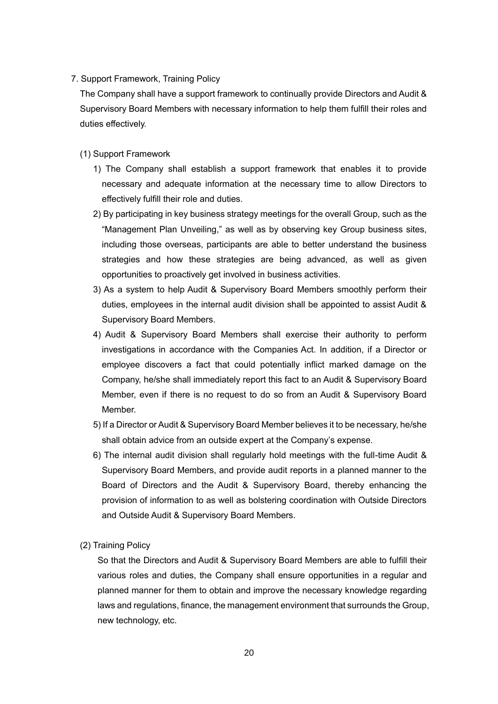7. Support Framework, Training Policy

The Company shall have a support framework to continually provide Directors and Audit & Supervisory Board Members with necessary information to help them fulfill their roles and duties effectively.

- (1) Support Framework
	- 1) The Company shall establish a support framework that enables it to provide necessary and adequate information at the necessary time to allow Directors to effectively fulfill their role and duties.
	- 2) By participating in key business strategy meetings for the overall Group, such as the "Management Plan Unveiling," as well as by observing key Group business sites, including those overseas, participants are able to better understand the business strategies and how these strategies are being advanced, as well as given opportunities to proactively get involved in business activities.
	- 3) As a system to help Audit & Supervisory Board Members smoothly perform their duties, employees in the internal audit division shall be appointed to assist Audit & Supervisory Board Members.
	- 4) Audit & Supervisory Board Members shall exercise their authority to perform investigations in accordance with the Companies Act. In addition, if a Director or employee discovers a fact that could potentially inflict marked damage on the Company, he/she shall immediately report this fact to an Audit & Supervisory Board Member, even if there is no request to do so from an Audit & Supervisory Board Member.
	- 5) If a Director or Audit & Supervisory Board Member believes it to be necessary, he/she shall obtain advice from an outside expert at the Company's expense.
	- 6) The internal audit division shall regularly hold meetings with the full-time Audit & Supervisory Board Members, and provide audit reports in a planned manner to the Board of Directors and the Audit & Supervisory Board, thereby enhancing the provision of information to as well as bolstering coordination with Outside Directors and Outside Audit & Supervisory Board Members.
- (2) Training Policy

So that the Directors and Audit & Supervisory Board Members are able to fulfill their various roles and duties, the Company shall ensure opportunities in a regular and planned manner for them to obtain and improve the necessary knowledge regarding laws and regulations, finance, the management environment that surrounds the Group, new technology, etc.